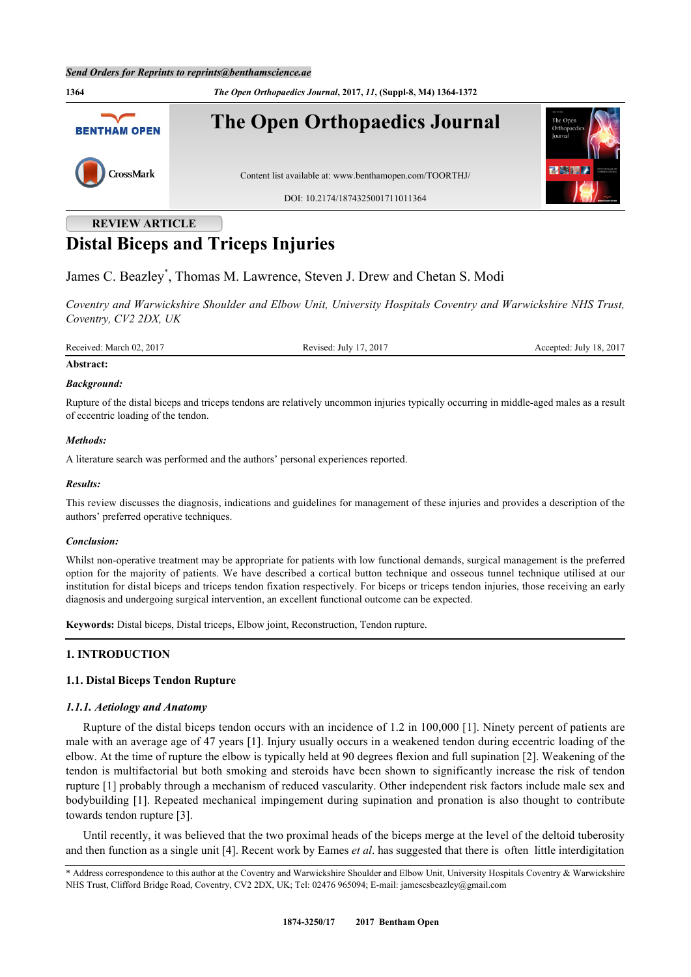

# **REVIEW ARTICLE Distal Biceps and Triceps Injuries**

James C. Beazley[\\*](#page-0-0) , Thomas M. Lawrence, Steven J. Drew and Chetan S. Modi

*Coventry and Warwickshire Shoulder and Elbow Unit, University Hospitals Coventry and Warwickshire NHS Trust, Coventry, CV2 2DX, UK*

Received: March 02, 2017 Revised: July 17, 2017 Revised: July 17, 2017 Accepted: July 18, 2017

# **Abstract:**

#### *Background:*

Rupture of the distal biceps and triceps tendons are relatively uncommon injuries typically occurring in middle-aged males as a result of eccentric loading of the tendon.

### *Methods:*

A literature search was performed and the authors' personal experiences reported.

#### *Results:*

This review discusses the diagnosis, indications and guidelines for management of these injuries and provides a description of the authors' preferred operative techniques.

#### *Conclusion:*

Whilst non-operative treatment may be appropriate for patients with low functional demands, surgical management is the preferred option for the majority of patients. We have described a cortical button technique and osseous tunnel technique utilised at our institution for distal biceps and triceps tendon fixation respectively. For biceps or triceps tendon injuries, those receiving an early diagnosis and undergoing surgical intervention, an excellent functional outcome can be expected.

**Keywords:** Distal biceps, Distal triceps, Elbow joint, Reconstruction, Tendon rupture.

# **1. INTRODUCTION**

# **1.1. Distal Biceps Tendon Rupture**

#### *1.1.1. Aetiology and Anatomy*

Rupture of the distal biceps tendon occurs with an incidence of 1.2 in 100,000 [[1](#page-6-0)]. Ninety percent of patients are male with an average age of 47 years [\[1](#page-6-0)]. Injury usually occurs in a weakened tendon during eccentric loading of the elbow. At the time of rupture the elbow is typically held at 90 degrees flexion and full supination [[2\]](#page-6-1). Weakening of the tendon is multifactorial but both smoking and steroids have been shown to significantly increase the risk of tendon rupture [[1](#page-6-0)] probably through a mechanism of reduced vascularity. Other independent risk factors include male sex and bodybuilding [\[1](#page-6-0)]. Repeated mechanical impingement during supination and pronation is also thought to contribute towards tendon rupture [\[3](#page-6-2)].

Until recently, it was believed that the two proximal heads of the biceps merge at the level of the deltoid tuberosity and then function as a single unit [[4\]](#page-6-3). Recent work by Eames *et al*. has suggested that there is often little interdigitation

<span id="page-0-0"></span><sup>\*</sup> Address correspondence to this author at the Coventry and Warwickshire Shoulder and Elbow Unit, University Hospitals Coventry & Warwickshire NHS Trust, Clifford Bridge Road, Coventry, CV2 2DX, UK; Tel: 02476 965094; E-mail: [jamescsbeazley@gmail.com](mailto:jamescsbeazley@gmail.com)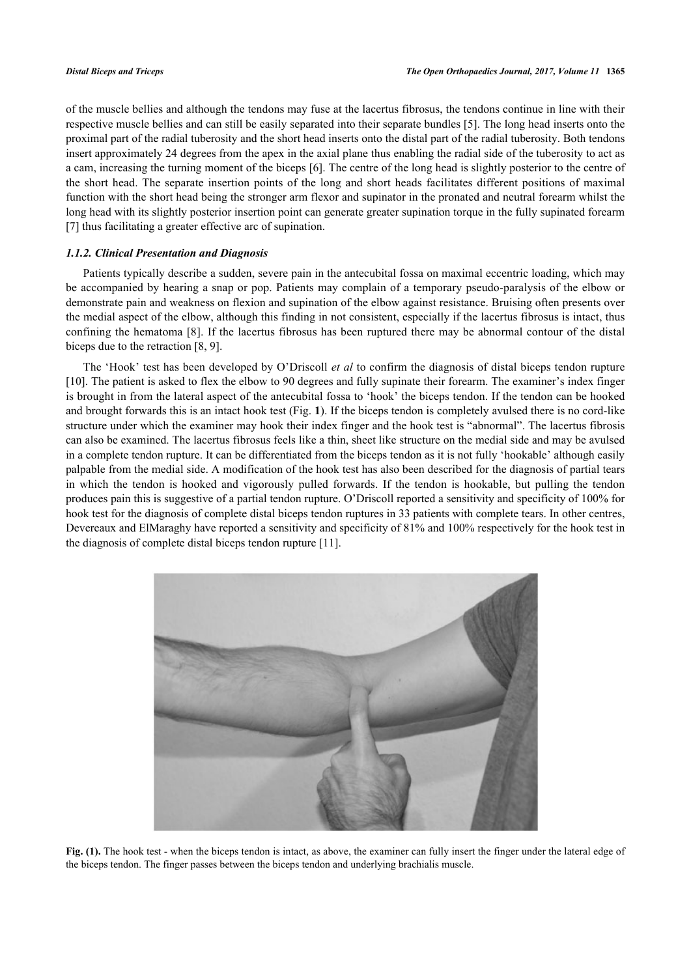of the muscle bellies and although the tendons may fuse at the lacertus fibrosus, the tendons continue in line with their respective muscle bellies and can still be easily separated into their separate bundles [[5\]](#page-6-4). The long head inserts onto the proximal part of the radial tuberosity and the short head inserts onto the distal part of the radial tuberosity. Both tendons insert approximately 24 degrees from the apex in the axial plane thus enabling the radial side of the tuberosity to act as a cam, increasing the turning moment of the biceps [[6\]](#page-6-5). The centre of the long head is slightly posterior to the centre of the short head. The separate insertion points of the long and short heads facilitates different positions of maximal function with the short head being the stronger arm flexor and supinator in the pronated and neutral forearm whilst the long head with its slightly posterior insertion point can generate greater supination torque in the fully supinated forearm [\[7](#page-6-6)] thus facilitating a greater effective arc of supination.

#### *1.1.2. Clinical Presentation and Diagnosis*

Patients typically describe a sudden, severe pain in the antecubital fossa on maximal eccentric loading, which may be accompanied by hearing a snap or pop. Patients may complain of a temporary pseudo-paralysis of the elbow or demonstrate pain and weakness on flexion and supination of the elbow against resistance. Bruising often presents over the medial aspect of the elbow, although this finding in not consistent, especially if the lacertus fibrosus is intact, thus confining the hematoma [\[8\]](#page-6-7). If the lacertus fibrosus has been ruptured there may be abnormal contour of the distal biceps due to the retraction [[8,](#page-6-7) [9\]](#page-6-8).

The 'Hook' test has been developed by O'Driscoll *et al* to confirm the diagnosis of distal biceps tendon rupture [\[10](#page-6-9)]. The patient is asked to flex the elbow to 90 degrees and fully supinate their forearm. The examiner's index finger is brought in from the lateral aspect of the antecubital fossa to 'hook' the biceps tendon. If the tendon can be hooked and brought forwards this is an intact hook test (Fig. **[1](#page-1-0)**). If the biceps tendon is completely avulsed there is no cord-like structure under which the examiner may hook their index finger and the hook test is "abnormal". The lacertus fibrosis can also be examined. The lacertus fibrosus feels like a thin, sheet like structure on the medial side and may be avulsed in a complete tendon rupture. It can be differentiated from the biceps tendon as it is not fully 'hookable' although easily palpable from the medial side. A modification of the hook test has also been described for the diagnosis of partial tears in which the tendon is hooked and vigorously pulled forwards. If the tendon is hookable, but pulling the tendon produces pain this is suggestive of a partial tendon rupture. O'Driscoll reported a sensitivity and specificity of 100% for hook test for the diagnosis of complete distal biceps tendon ruptures in 33 patients with complete tears. In other centres, Devereaux and ElMaraghy have reported a sensitivity and specificity of 81% and 100% respectively for the hook test in the diagnosis of complete distal biceps tendon rupture [\[11](#page-6-10)].

<span id="page-1-0"></span>

Fig. (1). The hook test - when the biceps tendon is intact, as above, the examiner can fully insert the finger under the lateral edge of the biceps tendon. The finger passes between the biceps tendon and underlying brachialis muscle.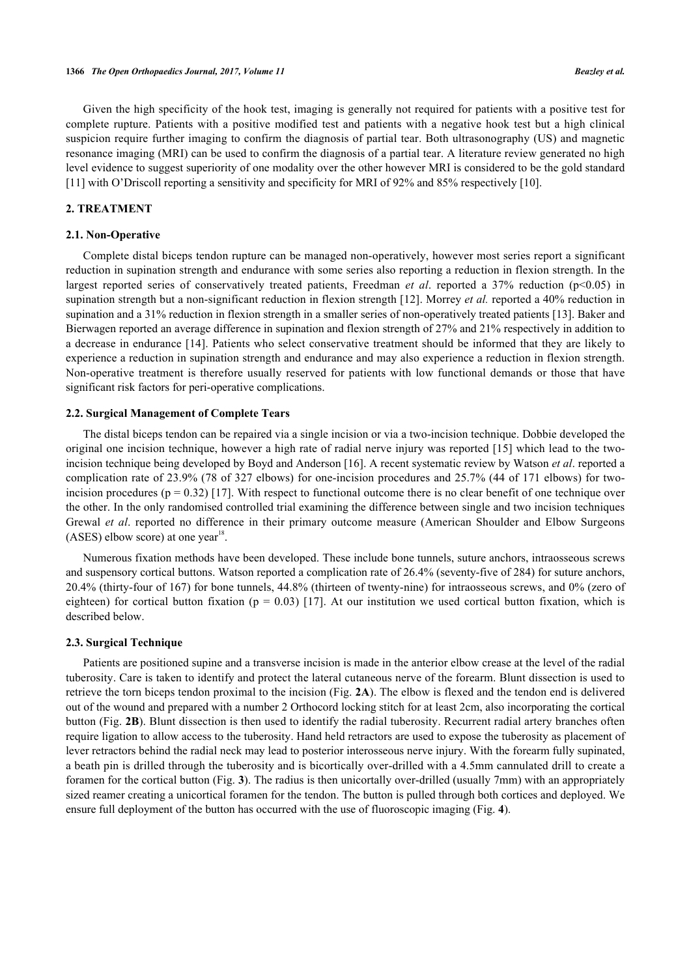Given the high specificity of the hook test, imaging is generally not required for patients with a positive test for complete rupture. Patients with a positive modified test and patients with a negative hook test but a high clinical suspicion require further imaging to confirm the diagnosis of partial tear. Both ultrasonography (US) and magnetic resonance imaging (MRI) can be used to confirm the diagnosis of a partial tear. A literature review generated no high level evidence to suggest superiority of one modality over the other however MRI is considered to be the gold standard [\[11](#page-6-10)] with O'Driscoll reporting a sensitivity and specificity for MRI of 92% and 85% respectively [\[10](#page-6-9)].

# **2. TREATMENT**

#### **2.1. Non-Operative**

Complete distal biceps tendon rupture can be managed non-operatively, however most series report a significant reduction in supination strength and endurance with some series also reporting a reduction in flexion strength. In the largest reported series of conservatively treated patients, Freedman *et al.* reported a 37% reduction (p<0.05) in supination strength but a non-significant reduction in flexion strength [\[12](#page-6-11)]. Morrey *et al.* reported a 40% reduction in supination and a 31% reduction in flexion strength in a smaller series of non-operatively treated patients [\[13](#page-7-0)]. Baker and Bierwagen reported an average difference in supination and flexion strength of 27% and 21% respectively in addition to a decrease in endurance [\[14\]](#page-7-1). Patients who select conservative treatment should be informed that they are likely to experience a reduction in supination strength and endurance and may also experience a reduction in flexion strength. Non-operative treatment is therefore usually reserved for patients with low functional demands or those that have significant risk factors for peri-operative complications.

#### **2.2. Surgical Management of Complete Tears**

The distal biceps tendon can be repaired via a single incision or via a two-incision technique. Dobbie developed the original one incision technique, however a high rate of radial nerve injury was reported [[15](#page-7-2)] which lead to the twoincision technique being developed by Boyd and Anderson [[16\]](#page-7-3). A recent systematic review by Watson *et al*. reported a complication rate of 23.9% (78 of 327 elbows) for one-incision procedures and 25.7% (44 of 171 elbows) for twoincision procedures ( $p = 0.32$ ) [[17\]](#page-7-4). With respect to functional outcome there is no clear benefit of one technique over the other. In the only randomised controlled trial examining the difference between single and two incision techniques Grewal *et al*. reported no difference in their primary outcome measure (American Shoulder and Elbow Surgeons  $(ASES)$  elbow score) at one year<sup>18</sup>.

Numerous fixation methods have been developed. These include bone tunnels, suture anchors, intraosseous screws and suspensory cortical buttons. Watson reported a complication rate of 26.4% (seventy-five of 284) for suture anchors, 20.4% (thirty-four of 167) for bone tunnels, 44.8% (thirteen of twenty-nine) for intraosseous screws, and 0% (zero of eighteen) for cortical button fixation ( $p = 0.03$ ) [[17](#page-7-4)]. At our institution we used cortical button fixation, which is described below.

#### **2.3. Surgical Technique**

<span id="page-2-0"></span>Patients are positioned supine and a transverse incision is made in the anterior elbow crease at the level of the radial tuberosity. Care is taken to identify and protect the lateral cutaneous nerve of the forearm. Blunt dissection is used to retrieve the torn biceps tendon proximal to the incision (Fig. **[2A](#page-2-0)**). The elbow is flexed and the tendon end is delivered out of the wound and prepared with a number 2 Orthocord locking stitch for at least 2cm, also incorporating the cortical button (Fig. **[2B](#page-2-0)**). Blunt dissection is then used to identify the radial tuberosity. Recurrent radial artery branches often require ligation to allow access to the tuberosity. Hand held retractors are used to expose the tuberosity as placement of lever retractors behind the radial neck may lead to posterior interosseous nerve injury. With the forearm fully supinated, a beath pin is drilled through the tuberosity and is bicortically over-drilled with a 4.5mm cannulated drill to create a foramen for the cortical button (Fig. **[3](#page-3-0)**). The radius is then unicortally over-drilled (usually 7mm) with an appropriately sized reamer creating a unicortical foramen for the tendon. The button is pulled through both cortices and deployed. We ensure full deployment of the button has occurred with the use of fluoroscopic imaging (Fig. **[4](#page-4-0)**).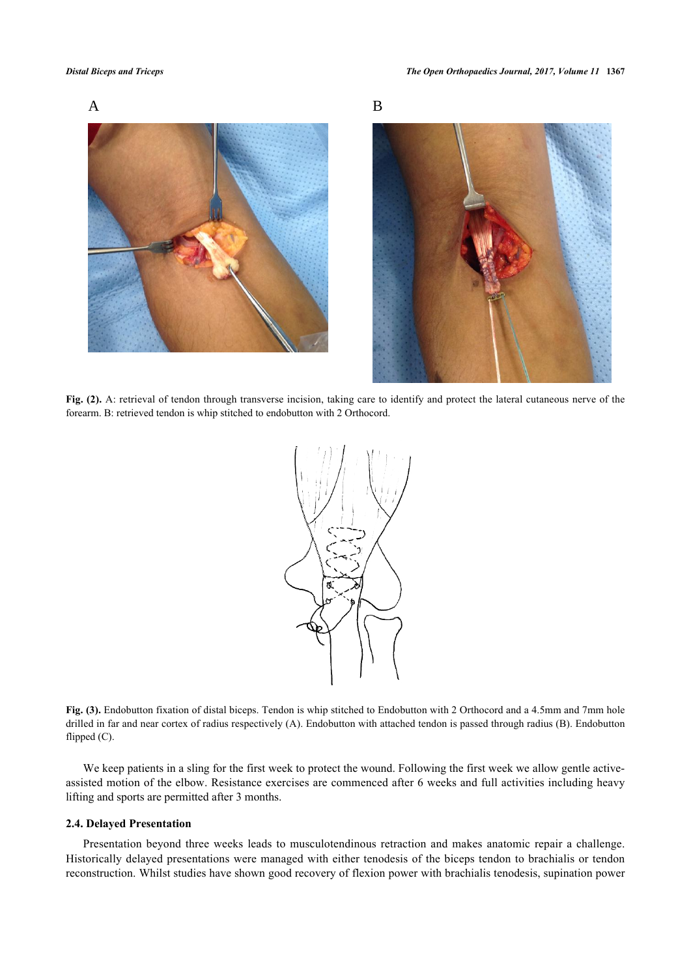



**Fig. (2).** A: retrieval of tendon through transverse incision, taking care to identify and protect the lateral cutaneous nerve of the forearm. B: retrieved tendon is whip stitched to endobutton with 2 Orthocord.

<span id="page-3-0"></span>

**Fig. (3).** Endobutton fixation of distal biceps. Tendon is whip stitched to Endobutton with 2 Orthocord and a 4.5mm and 7mm hole drilled in far and near cortex of radius respectively (A). Endobutton with attached tendon is passed through radius (B). Endobutton flipped (C).

We keep patients in a sling for the first week to protect the wound. Following the first week we allow gentle activeassisted motion of the elbow. Resistance exercises are commenced after 6 weeks and full activities including heavy lifting and sports are permitted after 3 months.

#### **2.4. Delayed Presentation**

Presentation beyond three weeks leads to musculotendinous retraction and makes anatomic repair a challenge. Historically delayed presentations were managed with either tenodesis of the biceps tendon to brachialis or tendon reconstruction. Whilst studies have shown good recovery of flexion power with brachialis tenodesis, supination power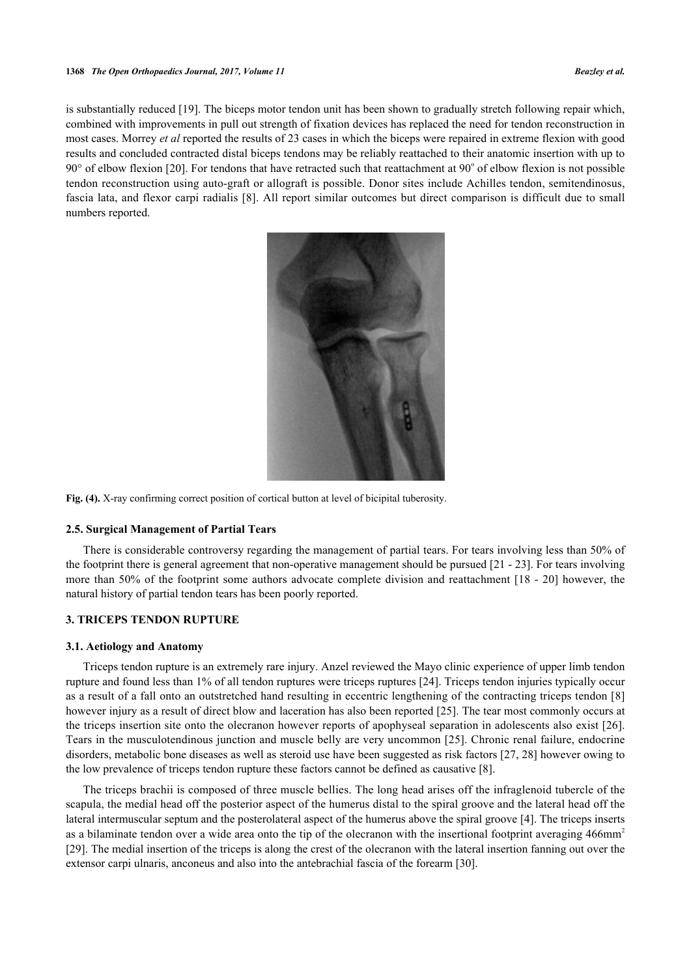<span id="page-4-0"></span>is substantially reduced [\[19](#page-7-5)]. The biceps motor tendon unit has been shown to gradually stretch following repair which, combined with improvements in pull out strength of fixation devices has replaced the need for tendon reconstruction in most cases. Morrey *et al* reported the results of 23 cases in which the biceps were repaired in extreme flexion with good results and concluded contracted distal biceps tendons may be reliably reattached to their anatomic insertion with up to  $90^\circ$  of elbow flexion [\[20](#page-7-6)]. For tendons that have retracted such that reattachment at  $90^\circ$  of elbow flexion is not possible tendon reconstruction using auto-graft or allograft is possible. Donor sites include Achilles tendon, semitendinosus, fascia lata, and flexor carpi radialis [[8](#page-6-7)]. All report similar outcomes but direct comparison is difficult due to small numbers reported.



**Fig. (4).** X-ray confirming correct position of cortical button at level of bicipital tuberosity.

#### **2.5. Surgical Management of Partial Tears**

There is considerable controversy regarding the management of partial tears. For tears involving less than 50% of the footprint there is general agreement that non-operative management should be pursued [\[21](#page-7-7) - [23\]](#page-7-8). For tears involving more than 50% of the footprint some authors advocate complete division and reattachment [[18](#page-7-9) - [20\]](#page-7-6) however, the natural history of partial tendon tears has been poorly reported.

#### **3. TRICEPS TENDON RUPTURE**

#### **3.1. Aetiology and Anatomy**

Triceps tendon rupture is an extremely rare injury. Anzel reviewed the Mayo clinic experience of upper limb tendon rupture and found less than 1% of all tendon ruptures were triceps ruptures [[24\]](#page-7-10). Triceps tendon injuries typically occur as a result of a fall onto an outstretched hand resulting in eccentric lengthening of the contracting triceps tendon [[8](#page-6-7)] however injury as a result of direct blow and laceration has also been reported [[25\]](#page-7-11). The tear most commonly occurs at the triceps insertion site onto the olecranon however reports of apophyseal separation in adolescents also exist [\[26\]](#page-7-12). Tears in the musculotendinous junction and muscle belly are very uncommon [[25\]](#page-7-11). Chronic renal failure, endocrine disorders, metabolic bone diseases as well as steroid use have been suggested as risk factors [[27,](#page-7-13) [28\]](#page-7-14) however owing to the low prevalence of triceps tendon rupture these factors cannot be defined as causative [\[8](#page-6-7)].

The triceps brachii is composed of three muscle bellies. The long head arises off the infraglenoid tubercle of the scapula, the medial head off the posterior aspect of the humerus distal to the spiral groove and the lateral head off the lateral intermuscular septum and the posterolateral aspect of the humerus above the spiral groove [[4\]](#page-6-3). The triceps inserts as a bilaminate tendon over a wide area onto the tip of the olecranon with the insertional footprint averaging 466mm<sup>2</sup> [\[29](#page-7-15)]. The medial insertion of the triceps is along the crest of the olecranon with the lateral insertion fanning out over the extensor carpi ulnaris, anconeus and also into the antebrachial fascia of the forearm [\[30](#page-7-16)].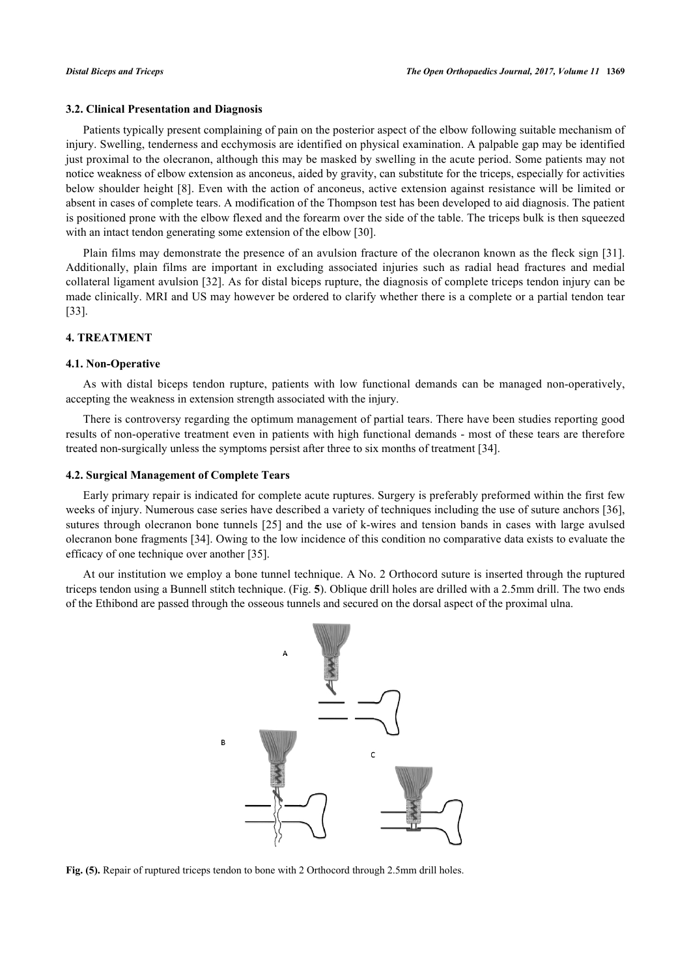#### **3.2. Clinical Presentation and Diagnosis**

Patients typically present complaining of pain on the posterior aspect of the elbow following suitable mechanism of injury. Swelling, tenderness and ecchymosis are identified on physical examination. A palpable gap may be identified just proximal to the olecranon, although this may be masked by swelling in the acute period. Some patients may not notice weakness of elbow extension as anconeus, aided by gravity, can substitute for the triceps, especially for activities below shoulder height [\[8\]](#page-6-7). Even with the action of anconeus, active extension against resistance will be limited or absent in cases of complete tears. A modification of the Thompson test has been developed to aid diagnosis. The patient is positioned prone with the elbow flexed and the forearm over the side of the table. The triceps bulk is then squeezed with an intact tendon generating some extension of the elbow [\[30](#page-7-16)].

Plain films may demonstrate the presence of an avulsion fracture of the olecranon known as the fleck sign [\[31\]](#page-7-17). Additionally, plain films are important in excluding associated injuries such as radial head fractures and medial collateral ligament avulsion [\[32\]](#page-7-18). As for distal biceps rupture, the diagnosis of complete triceps tendon injury can be made clinically. MRI and US may however be ordered to clarify whether there is a complete or a partial tendon tear [\[33](#page-7-19)].

# **4. TREATMENT**

#### **4.1. Non-Operative**

As with distal biceps tendon rupture, patients with low functional demands can be managed non-operatively, accepting the weakness in extension strength associated with the injury.

There is controversy regarding the optimum management of partial tears. There have been studies reporting good results of non-operative treatment even in patients with high functional demands - most of these tears are therefore treated non-surgically unless the symptoms persist after three to six months of treatment [\[34](#page-7-20)].

#### **4.2. Surgical Management of Complete Tears**

Early primary repair is indicated for complete acute ruptures. Surgery is preferably preformed within the first few weeks of injury. Numerous case series have described a variety of techniques including the use of suture anchors [[36\]](#page-8-0), sutures through olecranon bone tunnels [\[25](#page-7-11)] and the use of k-wires and tension bands in cases with large avulsed olecranon bone fragments [[34\]](#page-7-20). Owing to the low incidence of this condition no comparative data exists to evaluate the efficacy of one technique over another [[35\]](#page-7-21).

<span id="page-5-0"></span>At our institution we employ a bone tunnel technique. A No. 2 Orthocord suture is inserted through the ruptured triceps tendon using a Bunnell stitch technique. (Fig. **[5](#page-5-0)**). Oblique drill holes are drilled with a 2.5mm drill. The two ends of the Ethibond are passed through the osseous tunnels and secured on the dorsal aspect of the proximal ulna.



**Fig. (5).** Repair of ruptured triceps tendon to bone with 2 Orthocord through 2.5mm drill holes.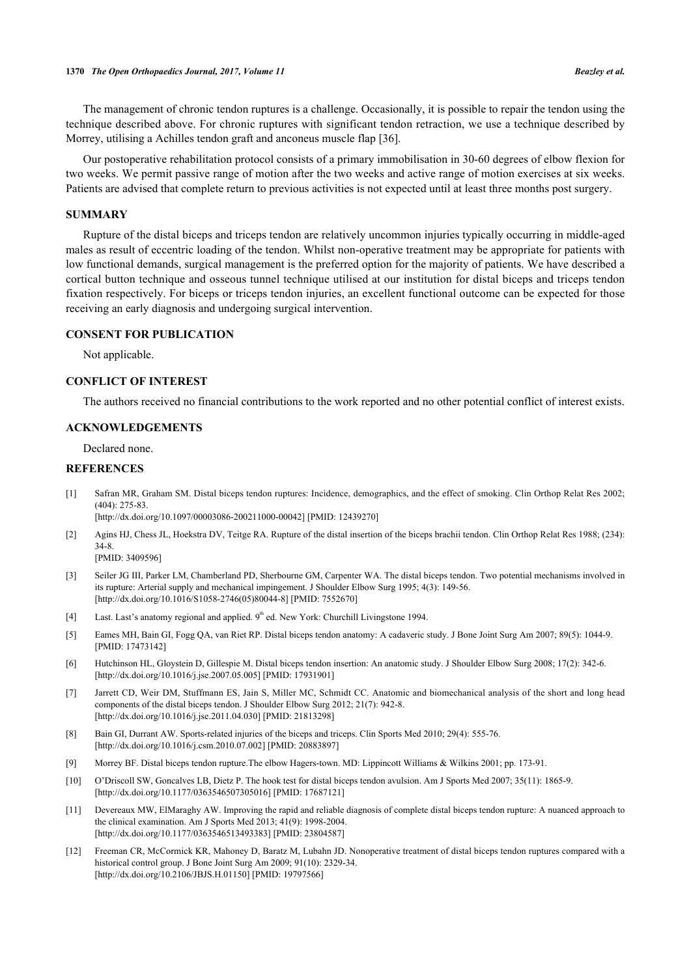The management of chronic tendon ruptures is a challenge. Occasionally, it is possible to repair the tendon using the technique described above. For chronic ruptures with significant tendon retraction, we use a technique described by Morrey, utilising a Achilles tendon graft and anconeus muscle flap [[36\]](#page-8-0).

Our postoperative rehabilitation protocol consists of a primary immobilisation in 30-60 degrees of elbow flexion for two weeks. We permit passive range of motion after the two weeks and active range of motion exercises at six weeks. Patients are advised that complete return to previous activities is not expected until at least three months post surgery.

#### **SUMMARY**

Rupture of the distal biceps and triceps tendon are relatively uncommon injuries typically occurring in middle-aged males as result of eccentric loading of the tendon. Whilst non-operative treatment may be appropriate for patients with low functional demands, surgical management is the preferred option for the majority of patients. We have described a cortical button technique and osseous tunnel technique utilised at our institution for distal biceps and triceps tendon fixation respectively. For biceps or triceps tendon injuries, an excellent functional outcome can be expected for those receiving an early diagnosis and undergoing surgical intervention.

#### **CONSENT FOR PUBLICATION**

Not applicable.

## **CONFLICT OF INTEREST**

The authors received no financial contributions to the work reported and no other potential conflict of interest exists.

#### **ACKNOWLEDGEMENTS**

Declared none.

### **REFERENCES**

<span id="page-6-0"></span>[1] Safran MR, Graham SM. Distal biceps tendon ruptures: Incidence, demographics, and the effect of smoking. Clin Orthop Relat Res 2002; (404): 275-83.

[\[http://dx.doi.org/10.1097/00003086-200211000-00042](http://dx.doi.org/10.1097/00003086-200211000-00042)] [PMID: [12439270\]](http://www.ncbi.nlm.nih.gov/pubmed/12439270)

<span id="page-6-1"></span>[2] Agins HJ, Chess JL, Hoekstra DV, Teitge RA. Rupture of the distal insertion of the biceps brachii tendon. Clin Orthop Relat Res 1988; (234): 34-8.

[PMID: [3409596\]](http://www.ncbi.nlm.nih.gov/pubmed/3409596)

- <span id="page-6-2"></span>[3] Seiler JG III, Parker LM, Chamberland PD, Sherbourne GM, Carpenter WA. The distal biceps tendon. Two potential mechanisms involved in its rupture: Arterial supply and mechanical impingement. J Shoulder Elbow Surg 1995; 4(3): 149-56. [\[http://dx.doi.org/10.1016/S1058-2746\(05\)80044-8\]](http://dx.doi.org/10.1016/S1058-2746(05)80044-8) [PMID: [7552670](http://www.ncbi.nlm.nih.gov/pubmed/7552670)]
- <span id="page-6-3"></span>[4] Last. Last's anatomy regional and applied. 9<sup>th</sup> ed. New York: Churchill Livingstone 1994.
- <span id="page-6-4"></span>[5] Eames MH, Bain GI, Fogg QA, van Riet RP. Distal biceps tendon anatomy: A cadaveric study. J Bone Joint Surg Am 2007; 89(5): 1044-9. [PMID: [17473142\]](http://www.ncbi.nlm.nih.gov/pubmed/17473142)
- <span id="page-6-5"></span>[6] Hutchinson HL, Gloystein D, Gillespie M. Distal biceps tendon insertion: An anatomic study. J Shoulder Elbow Surg 2008; 17(2): 342-6. [\[http://dx.doi.org/10.1016/j.jse.2007.05.005\]](http://dx.doi.org/10.1016/j.jse.2007.05.005) [PMID: [17931901](http://www.ncbi.nlm.nih.gov/pubmed/17931901)]
- <span id="page-6-6"></span>[7] Jarrett CD, Weir DM, Stuffmann ES, Jain S, Miller MC, Schmidt CC. Anatomic and biomechanical analysis of the short and long head components of the distal biceps tendon. J Shoulder Elbow Surg 2012; 21(7): 942-8. [\[http://dx.doi.org/10.1016/j.jse.2011.04.030\]](http://dx.doi.org/10.1016/j.jse.2011.04.030) [PMID: [21813298](http://www.ncbi.nlm.nih.gov/pubmed/21813298)]
- <span id="page-6-7"></span>[8] Bain GI, Durrant AW. Sports-related injuries of the biceps and triceps. Clin Sports Med 2010; 29(4): 555-76. [\[http://dx.doi.org/10.1016/j.csm.2010.07.002\]](http://dx.doi.org/10.1016/j.csm.2010.07.002) [PMID: [20883897](http://www.ncbi.nlm.nih.gov/pubmed/20883897)]
- <span id="page-6-8"></span>[9] Morrey BF. Distal biceps tendon rupture.The elbow Hagers-town. MD: Lippincott Williams & Wilkins 2001; pp. 173-91.
- <span id="page-6-9"></span>[10] O'Driscoll SW, Goncalves LB, Dietz P. The hook test for distal biceps tendon avulsion. Am J Sports Med 2007; 35(11): 1865-9. [\[http://dx.doi.org/10.1177/0363546507305016\]](http://dx.doi.org/10.1177/0363546507305016) [PMID: [17687121](http://www.ncbi.nlm.nih.gov/pubmed/17687121)]
- <span id="page-6-10"></span>[11] Devereaux MW, ElMaraghy AW. Improving the rapid and reliable diagnosis of complete distal biceps tendon rupture: A nuanced approach to the clinical examination. Am J Sports Med 2013; 41(9): 1998-2004. [\[http://dx.doi.org/10.1177/0363546513493383\]](http://dx.doi.org/10.1177/0363546513493383) [PMID: [23804587](http://www.ncbi.nlm.nih.gov/pubmed/23804587)]
- <span id="page-6-11"></span>[12] Freeman CR, McCormick KR, Mahoney D, Baratz M, Lubahn JD. Nonoperative treatment of distal biceps tendon ruptures compared with a historical control group. J Bone Joint Surg Am 2009; 91(10): 2329-34. [\[http://dx.doi.org/10.2106/JBJS.H.01150\]](http://dx.doi.org/10.2106/JBJS.H.01150) [PMID: [19797566](http://www.ncbi.nlm.nih.gov/pubmed/19797566)]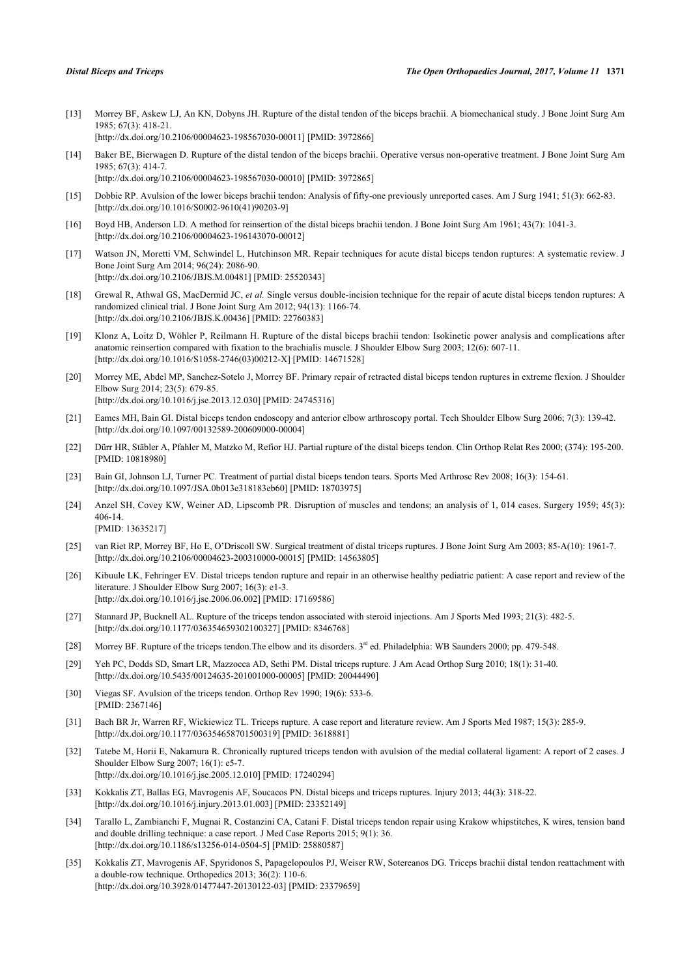- <span id="page-7-0"></span>[13] Morrey BF, Askew LJ, An KN, Dobyns JH. Rupture of the distal tendon of the biceps brachii. A biomechanical study. J Bone Joint Surg Am 1985; 67(3): 418-21. [\[http://dx.doi.org/10.2106/00004623-198567030-00011](http://dx.doi.org/10.2106/00004623-198567030-00011)] [PMID: [3972866\]](http://www.ncbi.nlm.nih.gov/pubmed/3972866)
- <span id="page-7-1"></span>[14] Baker BE, Bierwagen D. Rupture of the distal tendon of the biceps brachii. Operative versus non-operative treatment. J Bone Joint Surg Am 1985; 67(3): 414-7. [\[http://dx.doi.org/10.2106/00004623-198567030-00010](http://dx.doi.org/10.2106/00004623-198567030-00010)] [PMID: [3972865\]](http://www.ncbi.nlm.nih.gov/pubmed/3972865)
- <span id="page-7-2"></span>[15] Dobbie RP. Avulsion of the lower biceps brachii tendon: Analysis of fifty-one previously unreported cases. Am J Surg 1941; 51(3): 662-83. [\[http://dx.doi.org/10.1016/S0002-9610\(41\)90203-9\]](http://dx.doi.org/10.1016/S0002-9610(41)90203-9)
- <span id="page-7-3"></span>[16] Boyd HB, Anderson LD. A method for reinsertion of the distal biceps brachii tendon. J Bone Joint Surg Am 1961; 43(7): 1041-3. [\[http://dx.doi.org/10.2106/00004623-196143070-00012](http://dx.doi.org/10.2106/00004623-196143070-00012)]
- <span id="page-7-4"></span>[17] Watson JN, Moretti VM, Schwindel L, Hutchinson MR. Repair techniques for acute distal biceps tendon ruptures: A systematic review. J Bone Joint Surg Am 2014; 96(24): 2086-90. [\[http://dx.doi.org/10.2106/JBJS.M.00481\]](http://dx.doi.org/10.2106/JBJS.M.00481) [PMID: [25520343](http://www.ncbi.nlm.nih.gov/pubmed/25520343)]
- <span id="page-7-9"></span>[18] Grewal R, Athwal GS, MacDermid JC, *et al.* Single versus double-incision technique for the repair of acute distal biceps tendon ruptures: A randomized clinical trial. J Bone Joint Surg Am 2012; 94(13): 1166-74. [\[http://dx.doi.org/10.2106/JBJS.K.00436\]](http://dx.doi.org/10.2106/JBJS.K.00436) [PMID: [22760383](http://www.ncbi.nlm.nih.gov/pubmed/22760383)]
- <span id="page-7-5"></span>[19] Klonz A, Loitz D, Wöhler P, Reilmann H. Rupture of the distal biceps brachii tendon: Isokinetic power analysis and complications after anatomic reinsertion compared with fixation to the brachialis muscle. J Shoulder Elbow Surg 2003; 12(6): 607-11. [\[http://dx.doi.org/10.1016/S1058-2746\(03\)00212-X\]](http://dx.doi.org/10.1016/S1058-2746(03)00212-X) [PMID: [14671528](http://www.ncbi.nlm.nih.gov/pubmed/14671528)]
- <span id="page-7-6"></span>[20] Morrey ME, Abdel MP, Sanchez-Sotelo J, Morrey BF. Primary repair of retracted distal biceps tendon ruptures in extreme flexion. J Shoulder Elbow Surg 2014; 23(5): 679-85. [\[http://dx.doi.org/10.1016/j.jse.2013.12.030\]](http://dx.doi.org/10.1016/j.jse.2013.12.030) [PMID: [24745316](http://www.ncbi.nlm.nih.gov/pubmed/24745316)]
- <span id="page-7-7"></span>[21] Eames MH, Bain GI. Distal biceps tendon endoscopy and anterior elbow arthroscopy portal. Tech Shoulder Elbow Surg 2006; 7(3): 139-42. [\[http://dx.doi.org/10.1097/00132589-200609000-00004](http://dx.doi.org/10.1097/00132589-200609000-00004)]
- [22] Dürr HR, Stäbler A, Pfahler M, Matzko M, Refior HJ. Partial rupture of the distal biceps tendon. Clin Orthop Relat Res 2000; (374): 195-200. [PMID: [10818980\]](http://www.ncbi.nlm.nih.gov/pubmed/10818980)
- <span id="page-7-8"></span>[23] Bain GI, Johnson LJ, Turner PC. Treatment of partial distal biceps tendon tears. Sports Med Arthrosc Rev 2008; 16(3): 154-61. [\[http://dx.doi.org/10.1097/JSA.0b013e318183eb60](http://dx.doi.org/10.1097/JSA.0b013e318183eb60)] [PMID: [18703975\]](http://www.ncbi.nlm.nih.gov/pubmed/18703975)
- <span id="page-7-10"></span>[24] Anzel SH, Covey KW, Weiner AD, Lipscomb PR. Disruption of muscles and tendons; an analysis of 1, 014 cases. Surgery 1959; 45(3): 406-14.

[PMID: [13635217\]](http://www.ncbi.nlm.nih.gov/pubmed/13635217)

- <span id="page-7-11"></span>[25] van Riet RP, Morrey BF, Ho E, O'Driscoll SW. Surgical treatment of distal triceps ruptures. J Bone Joint Surg Am 2003; 85-A(10): 1961-7. [\[http://dx.doi.org/10.2106/00004623-200310000-00015](http://dx.doi.org/10.2106/00004623-200310000-00015)] [PMID: [14563805\]](http://www.ncbi.nlm.nih.gov/pubmed/14563805)
- <span id="page-7-12"></span>[26] Kibuule LK, Fehringer EV. Distal triceps tendon rupture and repair in an otherwise healthy pediatric patient: A case report and review of the literature. J Shoulder Elbow Surg 2007; 16(3): e1-3. [\[http://dx.doi.org/10.1016/j.jse.2006.06.002\]](http://dx.doi.org/10.1016/j.jse.2006.06.002) [PMID: [17169586](http://www.ncbi.nlm.nih.gov/pubmed/17169586)]
- <span id="page-7-13"></span>[27] Stannard JP, Bucknell AL. Rupture of the triceps tendon associated with steroid injections. Am J Sports Med 1993; 21(3): 482-5. [\[http://dx.doi.org/10.1177/036354659302100327\]](http://dx.doi.org/10.1177/036354659302100327) [PMID: [8346768](http://www.ncbi.nlm.nih.gov/pubmed/8346768)]
- <span id="page-7-14"></span>[28] Morrey BF. Rupture of the triceps tendon. The elbow and its disorders. 3<sup>rd</sup> ed. Philadelphia: WB Saunders 2000; pp. 479-548.
- <span id="page-7-15"></span>[29] Yeh PC, Dodds SD, Smart LR, Mazzocca AD, Sethi PM. Distal triceps rupture. J Am Acad Orthop Surg 2010; 18(1): 31-40. [\[http://dx.doi.org/10.5435/00124635-201001000-00005](http://dx.doi.org/10.5435/00124635-201001000-00005)] [PMID: [20044490\]](http://www.ncbi.nlm.nih.gov/pubmed/20044490)
- <span id="page-7-16"></span>[30] Viegas SF. Avulsion of the triceps tendon. Orthop Rev 1990; 19(6): 533-6. [PMID: [2367146\]](http://www.ncbi.nlm.nih.gov/pubmed/2367146)
- <span id="page-7-17"></span>[31] Bach BR Jr, Warren RF, Wickiewicz TL. Triceps rupture. A case report and literature review. Am J Sports Med 1987; 15(3): 285-9. [\[http://dx.doi.org/10.1177/036354658701500319\]](http://dx.doi.org/10.1177/036354658701500319) [PMID: [3618881](http://www.ncbi.nlm.nih.gov/pubmed/3618881)]
- <span id="page-7-18"></span>[32] Tatebe M, Horii E, Nakamura R. Chronically ruptured triceps tendon with avulsion of the medial collateral ligament: A report of 2 cases. J Shoulder Elbow Surg 2007; 16(1): e5-7. [\[http://dx.doi.org/10.1016/j.jse.2005.12.010\]](http://dx.doi.org/10.1016/j.jse.2005.12.010) [PMID: [17240294](http://www.ncbi.nlm.nih.gov/pubmed/17240294)]
- <span id="page-7-19"></span>[33] Kokkalis ZT, Ballas EG, Mavrogenis AF, Soucacos PN. Distal biceps and triceps ruptures. Injury 2013; 44(3): 318-22. [\[http://dx.doi.org/10.1016/j.injury.2013.01.003](http://dx.doi.org/10.1016/j.injury.2013.01.003)] [PMID: [23352149\]](http://www.ncbi.nlm.nih.gov/pubmed/23352149)
- <span id="page-7-20"></span>[34] Tarallo L, Zambianchi F, Mugnai R, Costanzini CA, Catani F. Distal triceps tendon repair using Krakow whipstitches, K wires, tension band and double drilling technique: a case report. J Med Case Reports 2015; 9(1): 36. [\[http://dx.doi.org/10.1186/s13256-014-0504-5\]](http://dx.doi.org/10.1186/s13256-014-0504-5) [PMID: [25880587](http://www.ncbi.nlm.nih.gov/pubmed/25880587)]
- <span id="page-7-21"></span>[35] Kokkalis ZT, Mavrogenis AF, Spyridonos S, Papagelopoulos PJ, Weiser RW, Sotereanos DG. Triceps brachii distal tendon reattachment with a double-row technique. Orthopedics 2013; 36(2): 110-6. [\[http://dx.doi.org/10.3928/01477447-20130122-03](http://dx.doi.org/10.3928/01477447-20130122-03)] [PMID: [23379659\]](http://www.ncbi.nlm.nih.gov/pubmed/23379659)